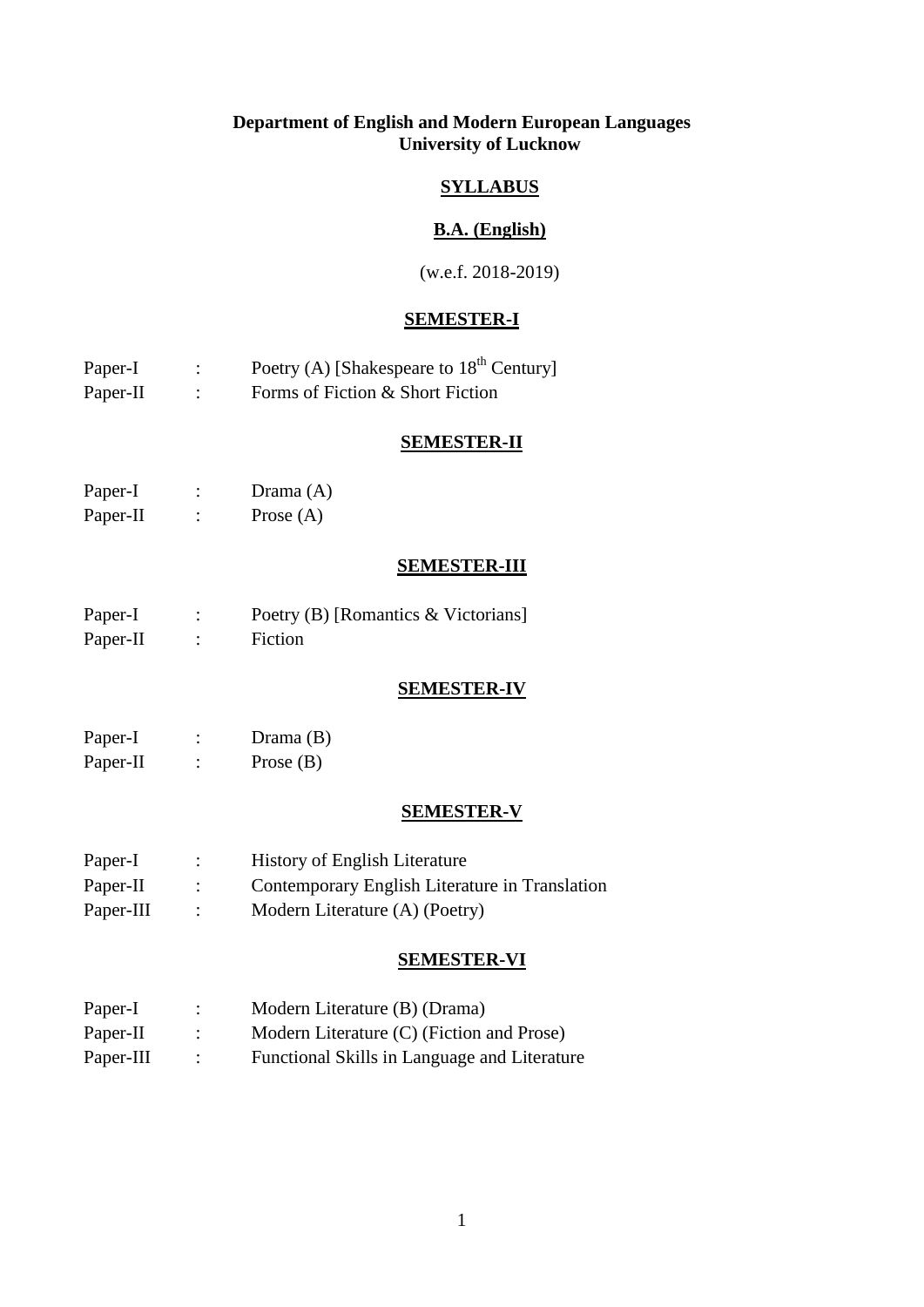# **Department of English and Modern European Languages University of Lucknow**

# **SYLLABUS**

# **B.A. (English)**

(w.e.f. 2018-2019)

# **SEMESTER-I**

| Paper-I  | Poetry (A) [Shakespeare to $18th$ Century] |
|----------|--------------------------------------------|
| Paper-II | Forms of Fiction & Short Fiction           |

### **SEMESTER-II**

| Paper-I  | Drama $(A)$ |
|----------|-------------|
| Paper-II | Prose $(A)$ |

# **SEMESTER-III**

| Paper-I  | Poetry (B) [Romantics & Victorians] |
|----------|-------------------------------------|
| Paper-II | Fiction                             |

# **SEMESTER-IV**

| Paper-I  |   | Drama $(B)$ |
|----------|---|-------------|
| Paper-II | ۰ | Prose $(B)$ |

# **SEMESTER-V**

| Paper-I   | <b>History of English Literature</b>           |
|-----------|------------------------------------------------|
| Paper-II  | Contemporary English Literature in Translation |
| Paper-III | Modern Literature (A) (Poetry)                 |

### **SEMESTER-VI**

| Paper-I   |                | Modern Literature (B) (Drama)                |
|-----------|----------------|----------------------------------------------|
| Paper-II  |                | Modern Literature (C) (Fiction and Prose)    |
| Paper-III | $\mathbb{R}^2$ | Functional Skills in Language and Literature |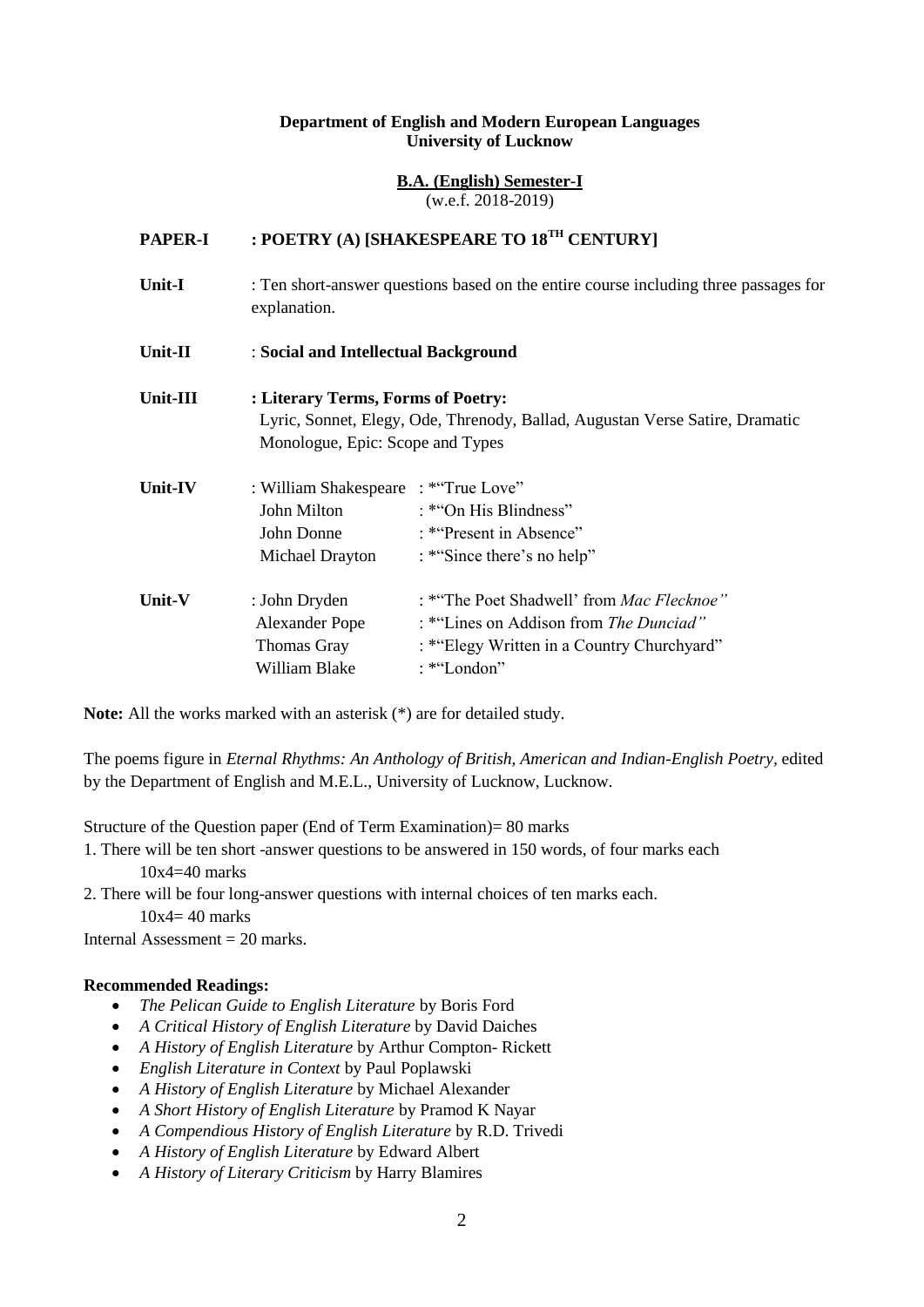#### **Department of English and Modern European Languages University of Lucknow**

#### **B.A. (English) Semester-I** (w.e.f. 2018-2019)

# **PAPER-I : POETRY (A) [SHAKESPEARE TO 18TH CENTURY]**

**Unit-I** : Ten short-answer questions based on the entire course including three passages for explanation.

### **Unit-II** : **Social and Intellectual Background**

**Unit-III : Literary Terms, Forms of Poetry:** Lyric, Sonnet, Elegy, Ode, Threnody, Ballad, Augustan Verse Satire, Dramatic Monologue, Epic: Scope and Types

| <b>Unit-IV</b> | : William Shakespeare | : *"True Love"                             |
|----------------|-----------------------|--------------------------------------------|
|                | John Milton           | : * "On His Blindness"                     |
|                | John Donne            | : *"Present in Absence"                    |
|                | Michael Drayton       | : *"Since there's no help"                 |
| Unit-V         | : John Dryden         | : *"The Poet Shadwell' from Mac Flecknoe"  |
|                | <b>Alexander Pope</b> | : *"Lines on Addison from The Dunciad"     |
|                | <b>Thomas Gray</b>    | : *"Elegy Written in a Country Churchyard" |
|                | William Blake         | : *"London"                                |

**Note:** All the works marked with an asterisk (\*) are for detailed study.

The poems figure in *Eternal Rhythms: An Anthology of British, American and Indian-English Poetry,* edited by the Department of English and M.E.L., University of Lucknow, Lucknow.

Structure of the Question paper (End of Term Examination)= 80 marks

1. There will be ten short -answer questions to be answered in 150 words, of four marks each  $10x4=40$  marks

2. There will be four long-answer questions with internal choices of ten marks each.

 $10x4=40$  marks

Internal Assessment  $= 20$  marks.

- *The Pelican Guide to English Literature* by Boris Ford
- *A Critical History of English Literature* by David Daiches
- *A History of English Literature* by Arthur Compton- Rickett
- *English Literature in Context* by Paul Poplawski
- *A History of English Literature* by Michael Alexander
- *A Short History of English Literature* by Pramod K Nayar
- *A Compendious History of English Literature* by R.D. Trivedi
- *A History of English Literature* by Edward Albert
- *A History of Literary Criticism* by Harry Blamires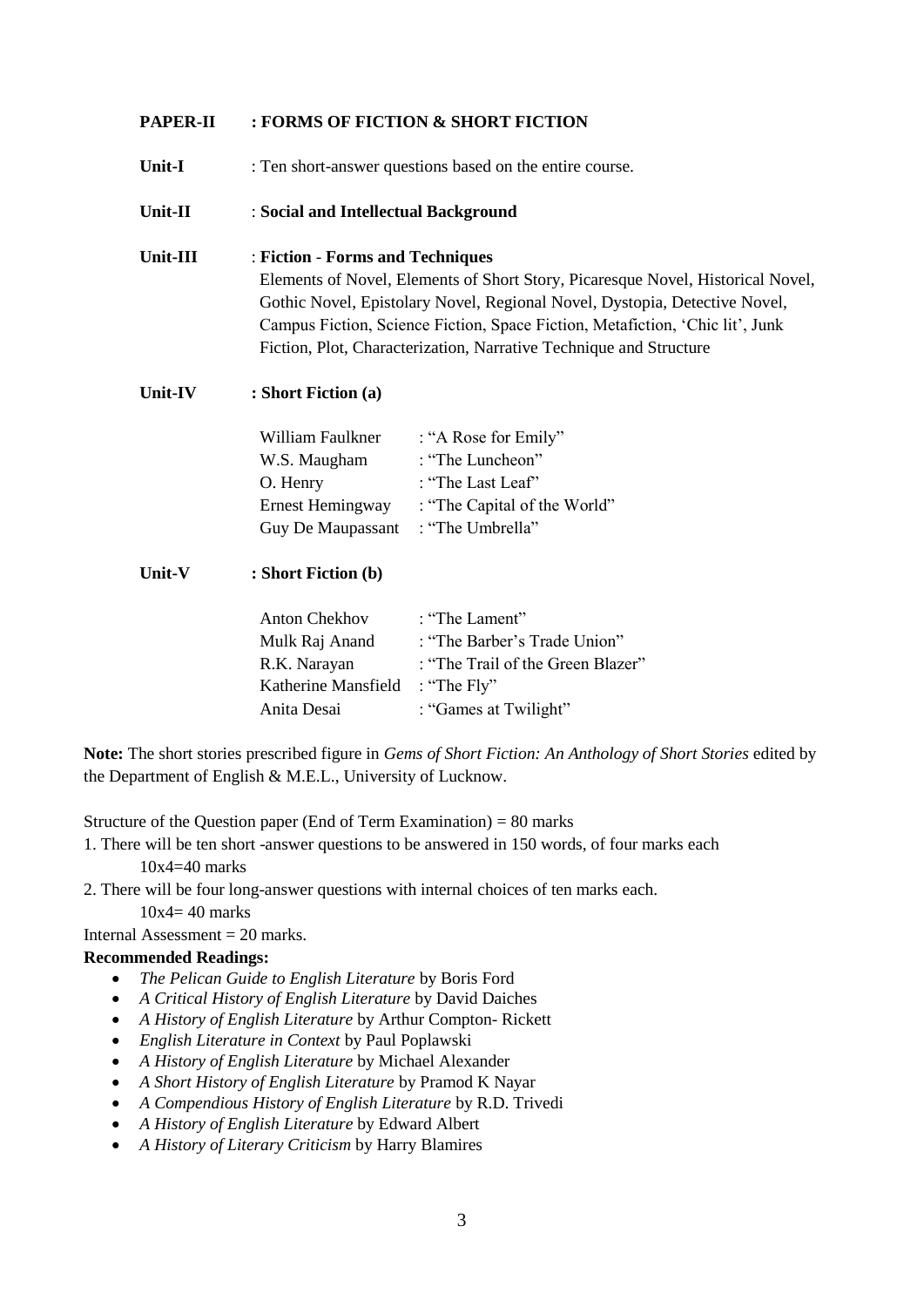# **PAPER-II : FORMS OF FICTION & SHORT FICTION**

**Unit-I** : Ten short-answer questions based on the entire course.

#### **Unit-II** : **Social and Intellectual Background**

# **Unit-III** : **Fiction** - **Forms and Techniques** Elements of Novel, Elements of Short Story, Picaresque Novel, Historical Novel, Gothic Novel, Epistolary Novel, Regional Novel, Dystopia, Detective Novel, Campus Fiction, Science Fiction, Space Fiction, Metafiction, "Chic lit", Junk

Fiction, Plot, Characterization, Narrative Technique and Structure

# **Unit-IV : Short Fiction (a)**

| William Faulkner  | : "A Rose for Emily"         |
|-------------------|------------------------------|
| W.S. Maugham      | : "The Luncheon"             |
| O. Henry          | : "The Last Leaf"            |
| Ernest Hemingway  | : "The Capital of the World" |
| Guy De Maupassant | : "The Umbrella"             |

# **Unit-V : Short Fiction (b)**

| <b>Anton Chekhov</b> | : "The Lament"                    |
|----------------------|-----------------------------------|
| Mulk Raj Anand       | : "The Barber's Trade Union"      |
| R.K. Narayan         | : "The Trail of the Green Blazer" |
| Katherine Mansfield  | : "The $Fly"$                     |
| Anita Desai          | : "Games at Twilight"             |

**Note:** The short stories prescribed figure in *Gems of Short Fiction: An Anthology of Short Stories* edited by the Department of English & M.E.L., University of Lucknow.

Structure of the Question paper (End of Term Examination) = 80 marks

- 1. There will be ten short -answer questions to be answered in 150 words, of four marks each 10x4=40 marks
- 2. There will be four long-answer questions with internal choices of ten marks each.

 $10x4=40$  marks

Internal Assessment  $= 20$  marks.

- *The Pelican Guide to English Literature* by Boris Ford
- *A Critical History of English Literature* by David Daiches
- *A History of English Literature* by Arthur Compton- Rickett
- *English Literature in Context* by Paul Poplawski
- *A History of English Literature* by Michael Alexander
- *A Short History of English Literature* by Pramod K Nayar
- *A Compendious History of English Literature* by R.D. Trivedi
- *A History of English Literature* by Edward Albert
- *A History of Literary Criticism* by Harry Blamires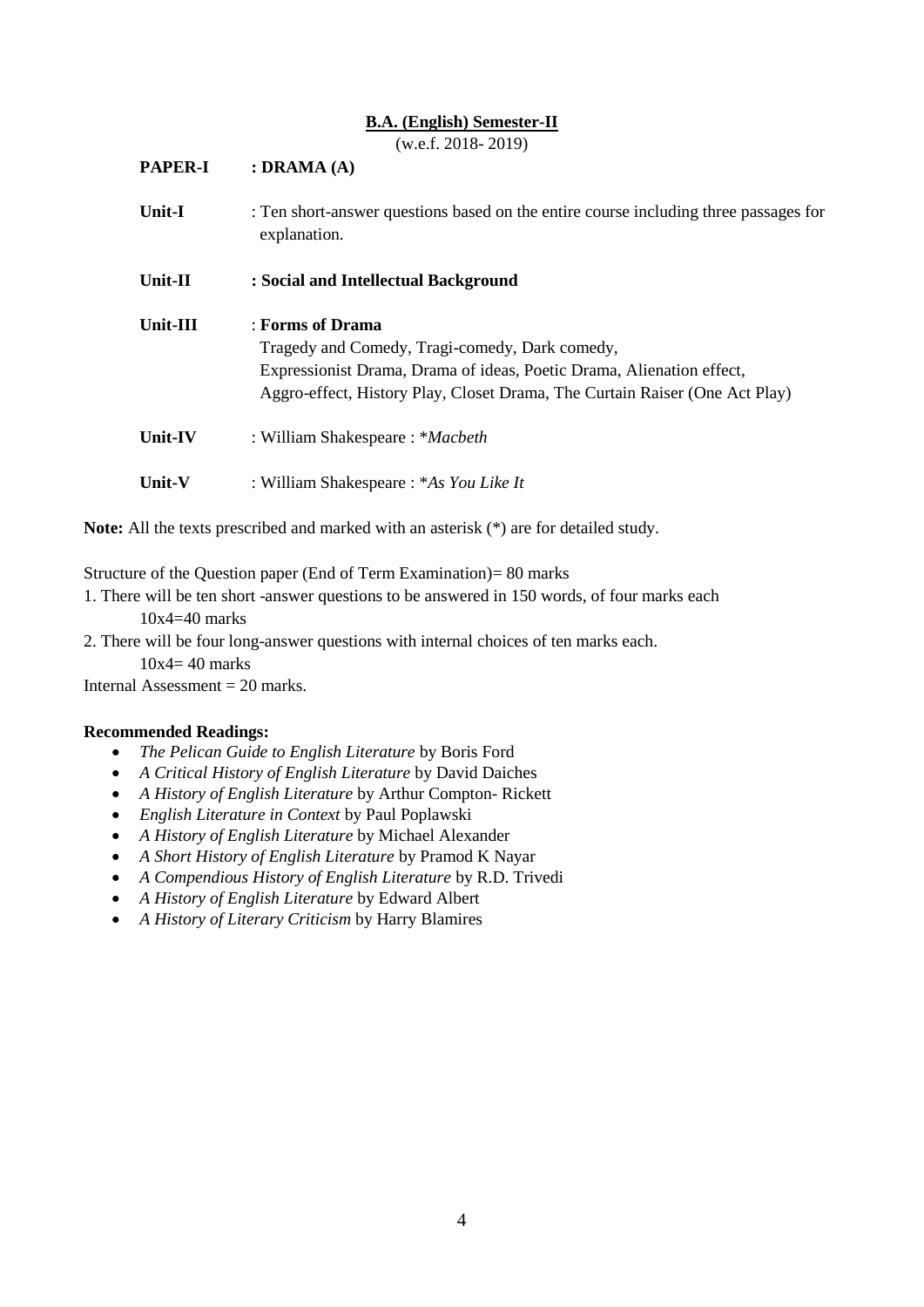### **B.A. (English) Semester-II**

(w.e.f. 2018- 2019)

| <b>PAPER-I</b> | (0.011.2010.2017)<br>: DRAMA $(A)$                                                                                                                                                                                         |
|----------------|----------------------------------------------------------------------------------------------------------------------------------------------------------------------------------------------------------------------------|
| <b>Unit-I</b>  | : Ten short-answer questions based on the entire course including three passages for<br>explanation.                                                                                                                       |
| Unit-II        | : Social and Intellectual Background                                                                                                                                                                                       |
| Unit-III       | : Forms of Drama<br>Tragedy and Comedy, Tragi-comedy, Dark comedy,<br>Expressionist Drama, Drama of ideas, Poetic Drama, Alienation effect,<br>Aggro-effect, History Play, Closet Drama, The Curtain Raiser (One Act Play) |
| Unit-IV        | : William Shakespeare: * <i>Macbeth</i>                                                                                                                                                                                    |
| Unit-V         | : William Shakespeare : *As You Like It                                                                                                                                                                                    |

**Note:** All the texts prescribed and marked with an asterisk (\*) are for detailed study.

Structure of the Question paper (End of Term Examination)= 80 marks

- 1. There will be ten short -answer questions to be answered in 150 words, of four marks each 10x4=40 marks
- 2. There will be four long-answer questions with internal choices of ten marks each.
	- $10x4=40$  marks

Internal Assessment  $= 20$  marks.

- *The Pelican Guide to English Literature* by Boris Ford
- *A Critical History of English Literature* by David Daiches
- *A History of English Literature* by Arthur Compton- Rickett
- *English Literature in Context* by Paul Poplawski
- *A History of English Literature* by Michael Alexander
- *A Short History of English Literature* by Pramod K Nayar
- *A Compendious History of English Literature* by R.D. Trivedi
- *A History of English Literature* by Edward Albert
- *A History of Literary Criticism* by Harry Blamires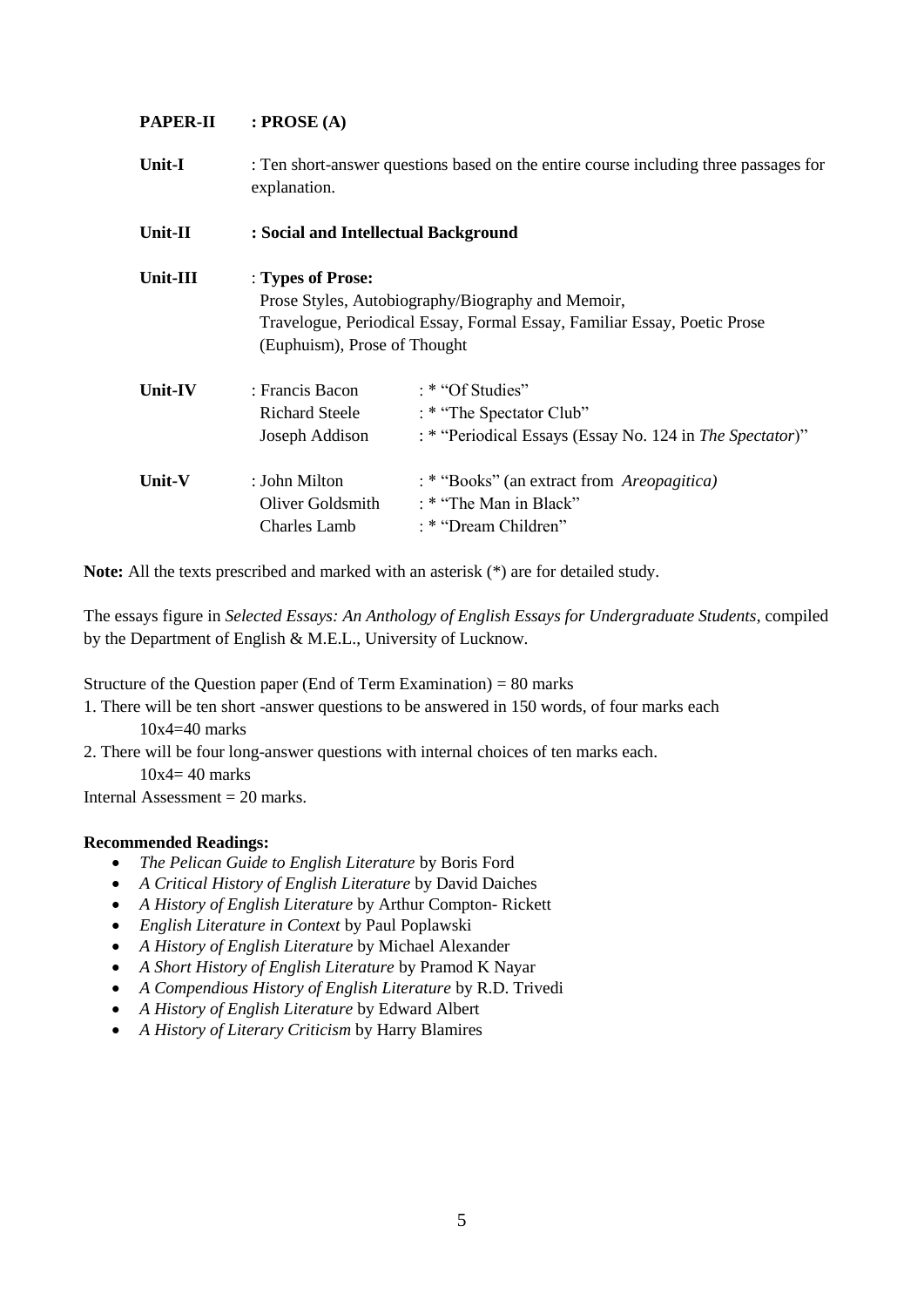# **PAPER-II : PROSE (A)**

**Unit-I** : Ten short-answer questions based on the entire course including three passages for explanation.

| Unit-II   | : Social and Intellectual Background                                                                                                                                               |                                                                                                          |
|-----------|------------------------------------------------------------------------------------------------------------------------------------------------------------------------------------|----------------------------------------------------------------------------------------------------------|
| Unit-III  | : Types of Prose:<br>Prose Styles, Autobiography/Biography and Memoir,<br>Travelogue, Periodical Essay, Formal Essay, Familiar Essay, Poetic Prose<br>(Euphuism), Prose of Thought |                                                                                                          |
| Unit-IV   | : Francis Bacon<br>Richard Steele<br>Joseph Addison                                                                                                                                | : * "Of Studies"<br>: * "The Spectator Club"<br>: * "Periodical Essays (Essay No. 124 in The Spectator)" |
| Unit- $V$ | : John Milton<br>Oliver Goldsmith<br>Charles Lamb                                                                                                                                  | : * "Books" (an extract from Areopagitica)<br>$\cdot$ * "The Man in Black"<br>: * "Dream Children"       |

**Note:** All the texts prescribed and marked with an asterisk (\*) are for detailed study.

The essays figure in *Selected Essays: An Anthology of English Essays for Undergraduate Students*, compiled by the Department of English & M.E.L., University of Lucknow.

Structure of the Question paper (End of Term Examination) = 80 marks

- 1. There will be ten short -answer questions to be answered in 150 words, of four marks each 10x4=40 marks
- 2. There will be four long-answer questions with internal choices of ten marks each.  $10x4 = 40$  marks

Internal Assessment  $= 20$  marks.

- *The Pelican Guide to English Literature* by Boris Ford
- *A Critical History of English Literature* by David Daiches
- *A History of English Literature* by Arthur Compton- Rickett
- *English Literature in Context* by Paul Poplawski
- *A History of English Literature* by Michael Alexander
- *A Short History of English Literature* by Pramod K Nayar
- *A Compendious History of English Literature* by R.D. Trivedi
- *A History of English Literature* by Edward Albert
- *A History of Literary Criticism* by Harry Blamires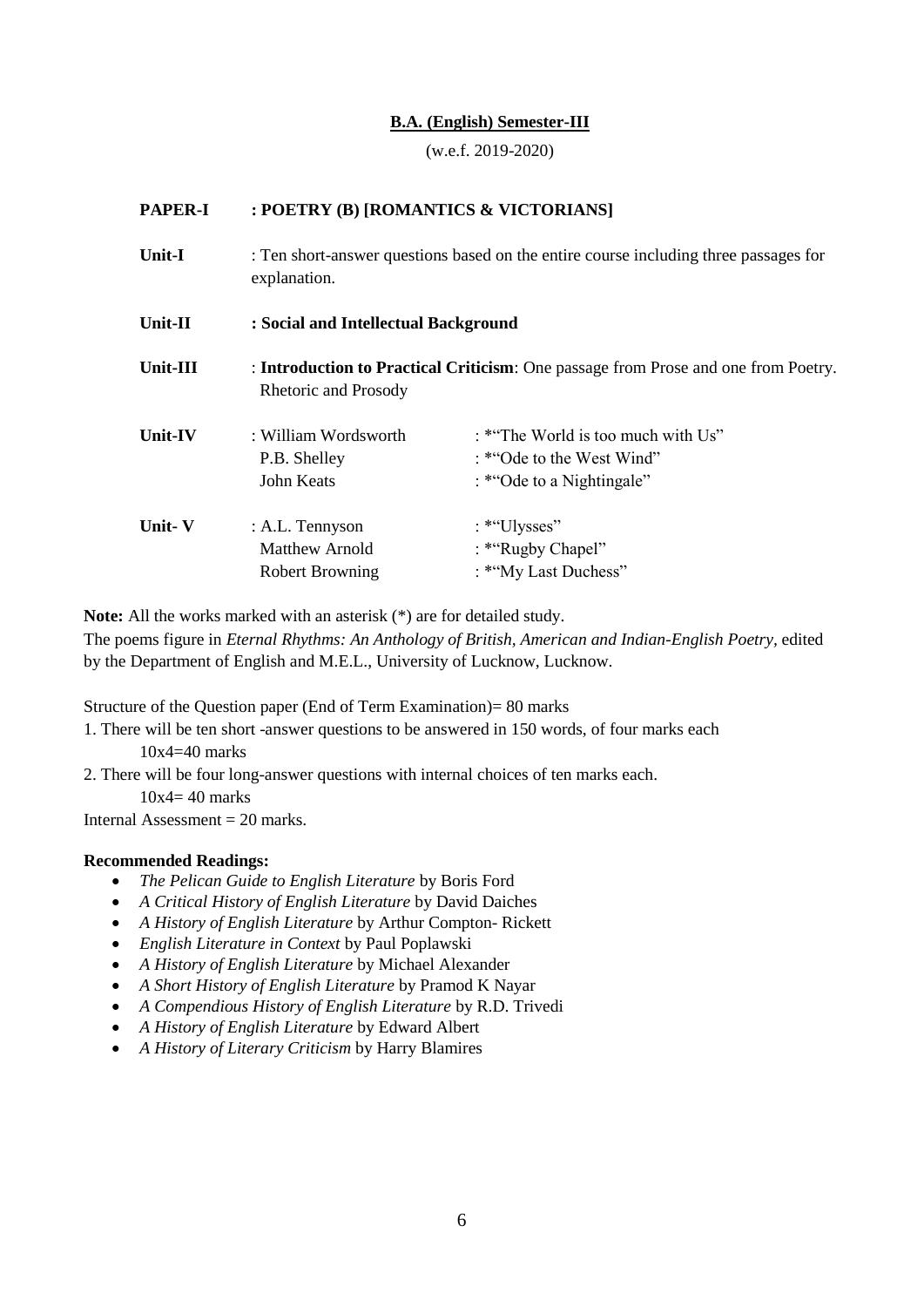# **B.A. (English) Semester-III**

(w.e.f. 2019-2020)

| <b>PAPER-I</b> | : POETRY (B) [ROMANTICS & VICTORIANS]                                                                |                                                                                              |  |
|----------------|------------------------------------------------------------------------------------------------------|----------------------------------------------------------------------------------------------|--|
| <b>Unit-I</b>  | : Ten short-answer questions based on the entire course including three passages for<br>explanation. |                                                                                              |  |
| Unit-II        | : Social and Intellectual Background                                                                 |                                                                                              |  |
| Unit-III       | Rhetoric and Prosody                                                                                 | : Introduction to Practical Criticism: One passage from Prose and one from Poetry.           |  |
| Unit-IV        | : William Wordsworth<br>P.B. Shelley<br>John Keats                                                   | : *"The World is too much with Us"<br>: *"Ode to the West Wind"<br>: *"Ode to a Nightingale" |  |
| Unit-V         | : A.L. Tennyson<br><b>Matthew Arnold</b><br><b>Robert Browning</b>                                   | : *"Ulysses"<br>: *"Rugby Chapel"<br>: *"My Last Duchess"                                    |  |

**Note:** All the works marked with an asterisk (\*) are for detailed study.

The poems figure in *Eternal Rhythms: An Anthology of British, American and Indian-English Poetry,* edited by the Department of English and M.E.L., University of Lucknow, Lucknow.

Structure of the Question paper (End of Term Examination)= 80 marks

1. There will be ten short -answer questions to be answered in 150 words, of four marks each 10x4=40 marks

2. There will be four long-answer questions with internal choices of ten marks each.

 $10x4=40$  marks

Internal Assessment  $= 20$  marks.

- *The Pelican Guide to English Literature* by Boris Ford
- *A Critical History of English Literature* by David Daiches
- *A History of English Literature* by Arthur Compton- Rickett
- *English Literature in Context* by Paul Poplawski
- *A History of English Literature* by Michael Alexander
- *A Short History of English Literature* by Pramod K Nayar
- *A Compendious History of English Literature* by R.D. Trivedi
- *A History of English Literature* by Edward Albert
- *A History of Literary Criticism* by Harry Blamires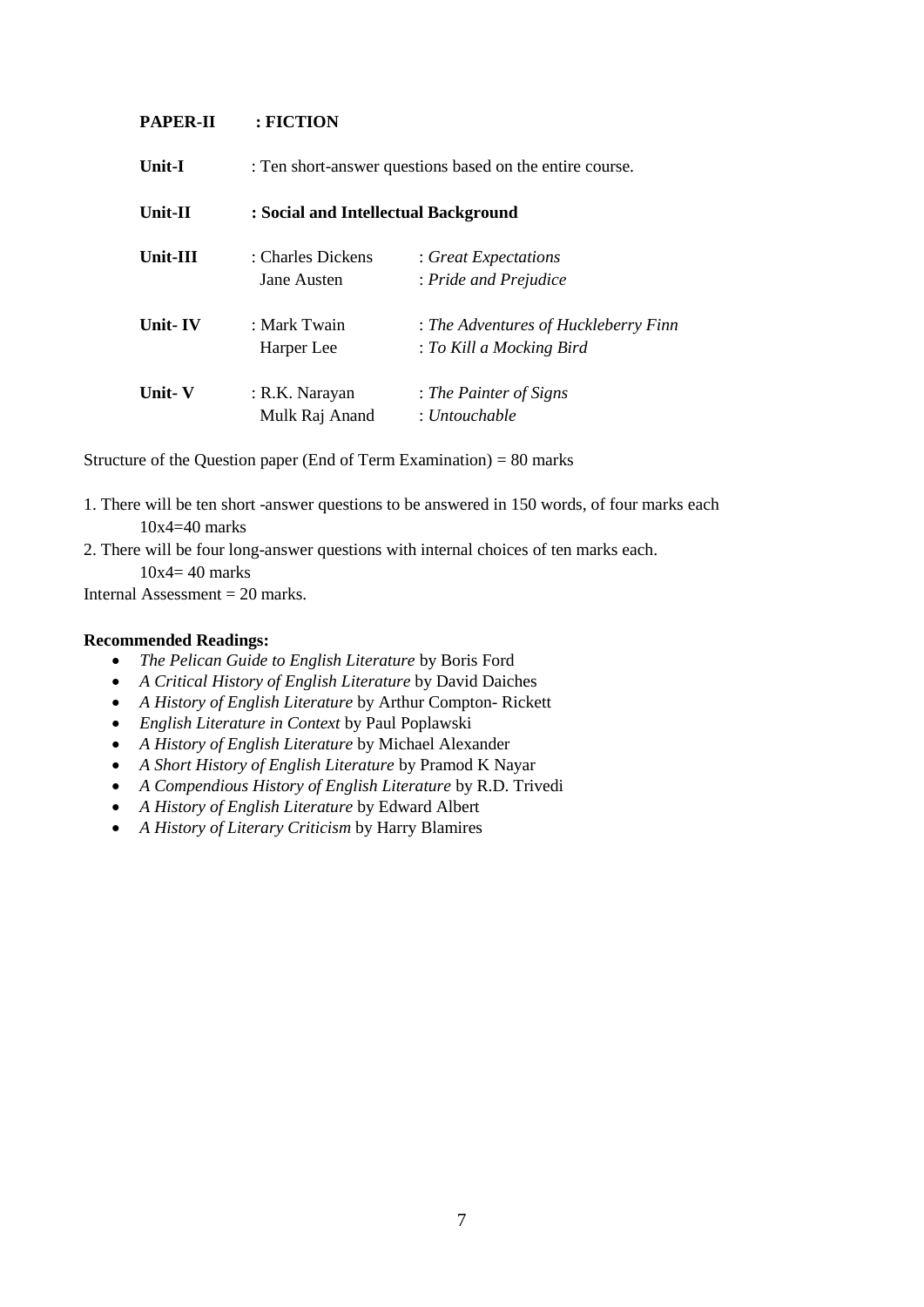### **PAPER-II : FICTION**

| <b>Unit-I</b> | : Ten short-answer questions based on the entire course. |                                      |
|---------------|----------------------------------------------------------|--------------------------------------|
| Unit-II       | : Social and Intellectual Background                     |                                      |
| Unit-III      | : Charles Dickens                                        | : Great Expectations                 |
|               | Jane Austen                                              | : Pride and Prejudice                |
| Unit-IV       | : Mark Twain                                             | : The Adventures of Huckleberry Finn |
|               | Harper Lee                                               | : To Kill a Mocking Bird             |
| Unit- V       | : R.K. Narayan                                           | : The Painter of Signs               |
|               | Mulk Raj Anand                                           | : Untouchable                        |

Structure of the Question paper (End of Term Examination) =  $80$  marks

- 1. There will be ten short -answer questions to be answered in 150 words, of four marks each 10x4=40 marks
- 2. There will be four long-answer questions with internal choices of ten marks each.

 $10x4=40$  marks

Internal Assessment  $= 20$  marks.

- *The Pelican Guide to English Literature* by Boris Ford
- *A Critical History of English Literature* by David Daiches
- *A History of English Literature* by Arthur Compton- Rickett
- *English Literature in Context* by Paul Poplawski
- *A History of English Literature* by Michael Alexander
- *A Short History of English Literature* by Pramod K Nayar
- *A Compendious History of English Literature* by R.D. Trivedi
- *A History of English Literature* by Edward Albert
- *A History of Literary Criticism* by Harry Blamires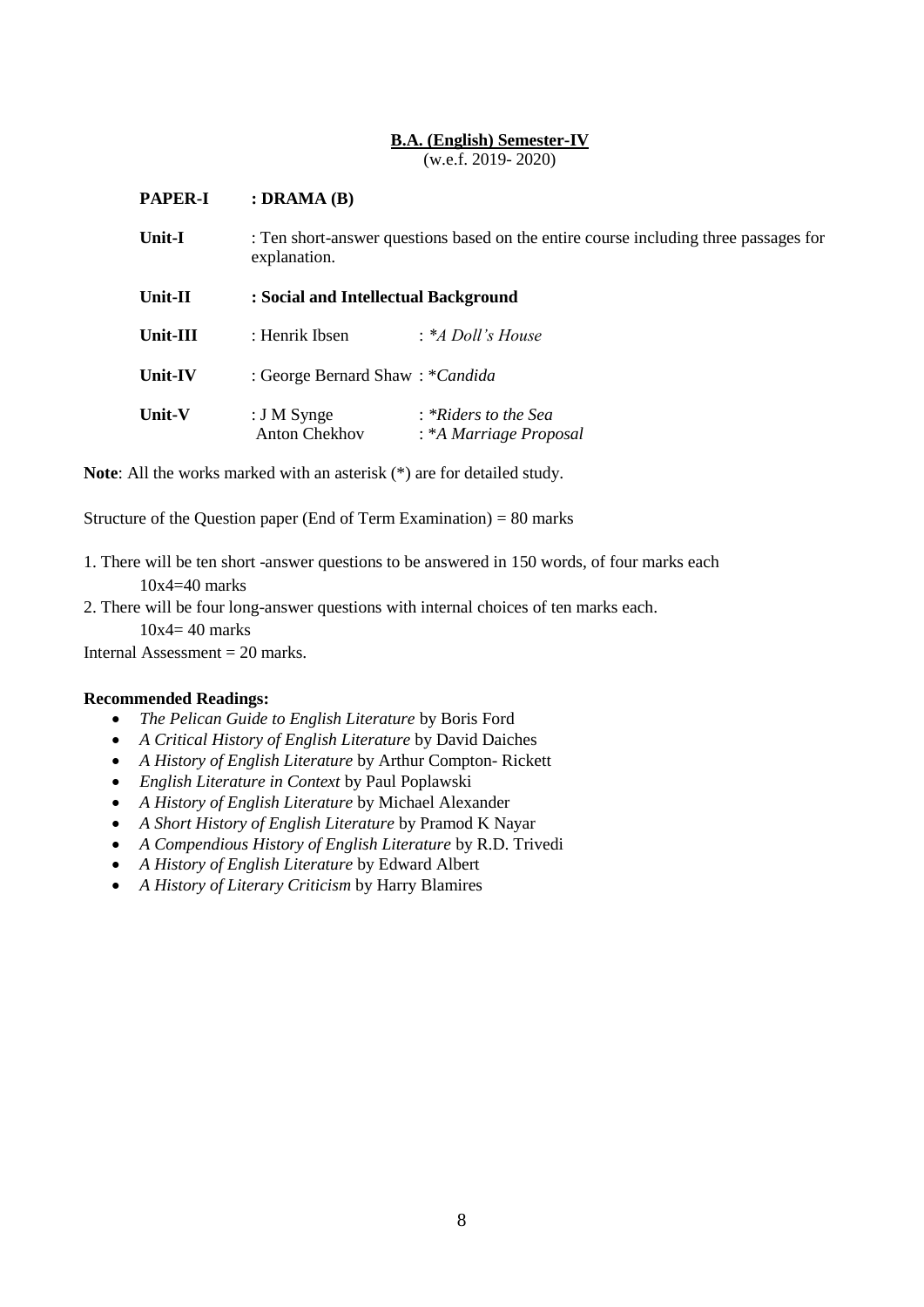# **B.A. (English) Semester-IV**

(w.e.f. 2019- 2020)

| <b>PAPER-I</b> | : DRAMA $(B)$                                                                                        |                                                |
|----------------|------------------------------------------------------------------------------------------------------|------------------------------------------------|
| <b>Unit-I</b>  | : Ten short-answer questions based on the entire course including three passages for<br>explanation. |                                                |
| Unit-II        | : Social and Intellectual Background                                                                 |                                                |
| Unit-III       | : Henrik Ibsen                                                                                       | : *A Doll's House                              |
| Unit-IV        | : George Bernard Shaw: * Candida                                                                     |                                                |
| Unit-V         | : $J M$ Synge<br><b>Anton Chekhov</b>                                                                | : *Riders to the Sea<br>: *A Marriage Proposal |

**Note**: All the works marked with an asterisk (\*) are for detailed study.

Structure of the Question paper (End of Term Examination) =  $80$  marks

- 1. There will be ten short -answer questions to be answered in 150 words, of four marks each 10x4=40 marks
- 2. There will be four long-answer questions with internal choices of ten marks each.

10x4= 40 marks

Internal Assessment  $= 20$  marks.

- *The Pelican Guide to English Literature* by Boris Ford
- *A Critical History of English Literature* by David Daiches
- *A History of English Literature* by Arthur Compton- Rickett
- *English Literature in Context* by Paul Poplawski
- *A History of English Literature* by Michael Alexander
- *A Short History of English Literature* by Pramod K Nayar
- *A Compendious History of English Literature* by R.D. Trivedi
- *A History of English Literature* by Edward Albert
- *A History of Literary Criticism* by Harry Blamires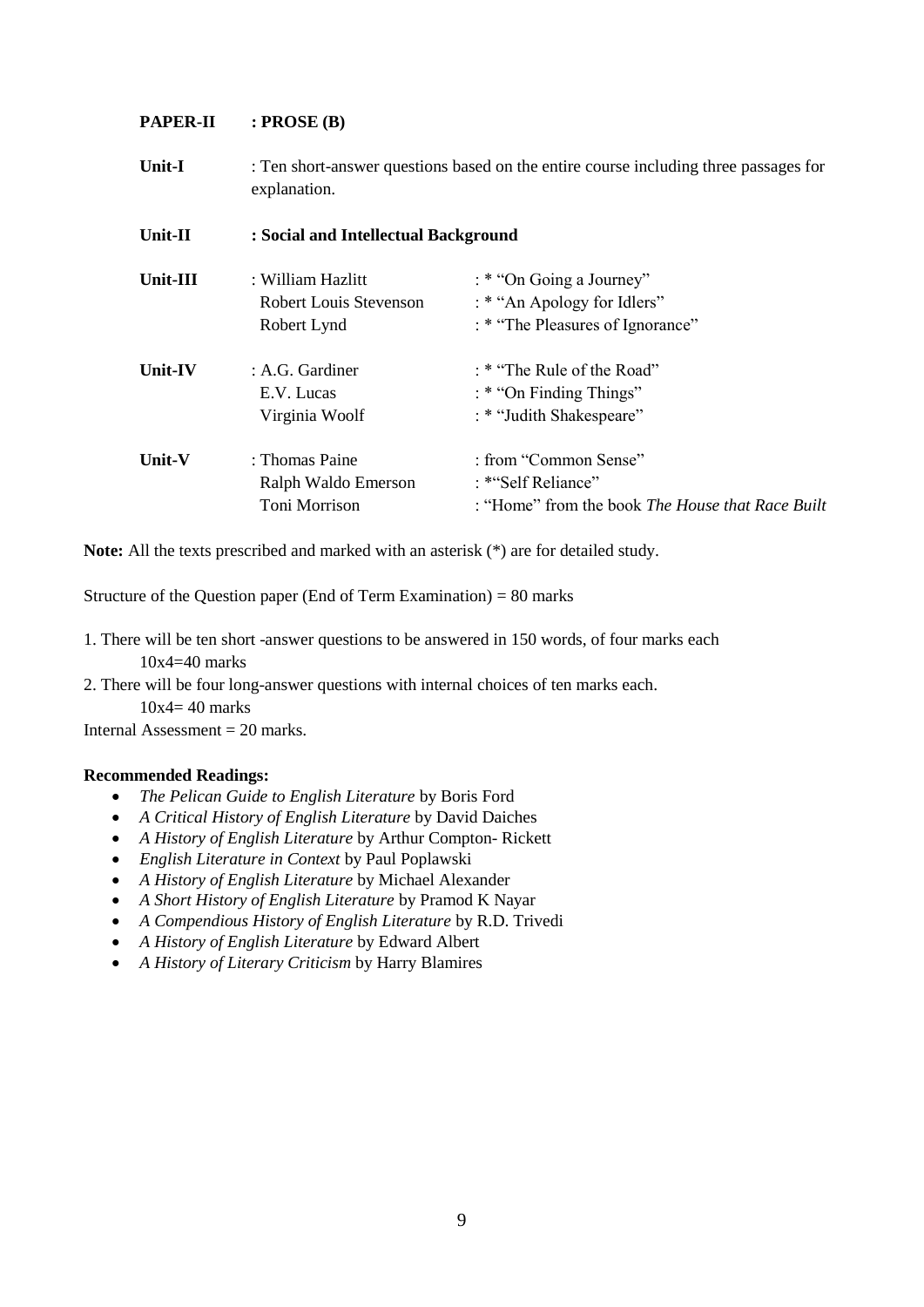# **PAPER-II : PROSE (B)**

**Unit-I** : Ten short-answer questions based on the entire course including three passages for explanation. **Unit-II : Social and Intellectual Background**

| Unit-III | : William Hazlitt<br><b>Robert Louis Stevenson</b><br>Robert Lynd | : * "On Going a Journey"<br>: * "An Apology for Idlers"<br>: * "The Pleasures of Ignorance"     |
|----------|-------------------------------------------------------------------|-------------------------------------------------------------------------------------------------|
| Unit-IV  | : A.G. Gardiner<br>E.V. Lucas<br>Virginia Woolf                   | : * "The Rule of the Road"<br>: * "On Finding Things"<br>: * "Judith Shakespeare"               |
| Unit-V   | : Thomas Paine<br>Ralph Waldo Emerson<br>Toni Morrison            | : from "Common Sense"<br>: *"Self Reliance"<br>: "Home" from the book The House that Race Built |

**Note:** All the texts prescribed and marked with an asterisk (\*) are for detailed study.

Structure of the Question paper (End of Term Examination) = 80 marks

- 1. There will be ten short -answer questions to be answered in 150 words, of four marks each 10x4=40 marks
- 2. There will be four long-answer questions with internal choices of ten marks each.

 $10x4=40$  marks

Internal Assessment  $= 20$  marks.

- *The Pelican Guide to English Literature* by Boris Ford
- *A Critical History of English Literature* by David Daiches
- *A History of English Literature* by Arthur Compton- Rickett
- *English Literature in Context* by Paul Poplawski
- *A History of English Literature* by Michael Alexander
- *A Short History of English Literature* by Pramod K Nayar
- *A Compendious History of English Literature* by R.D. Trivedi
- *A History of English Literature* by Edward Albert
- *A History of Literary Criticism* by Harry Blamires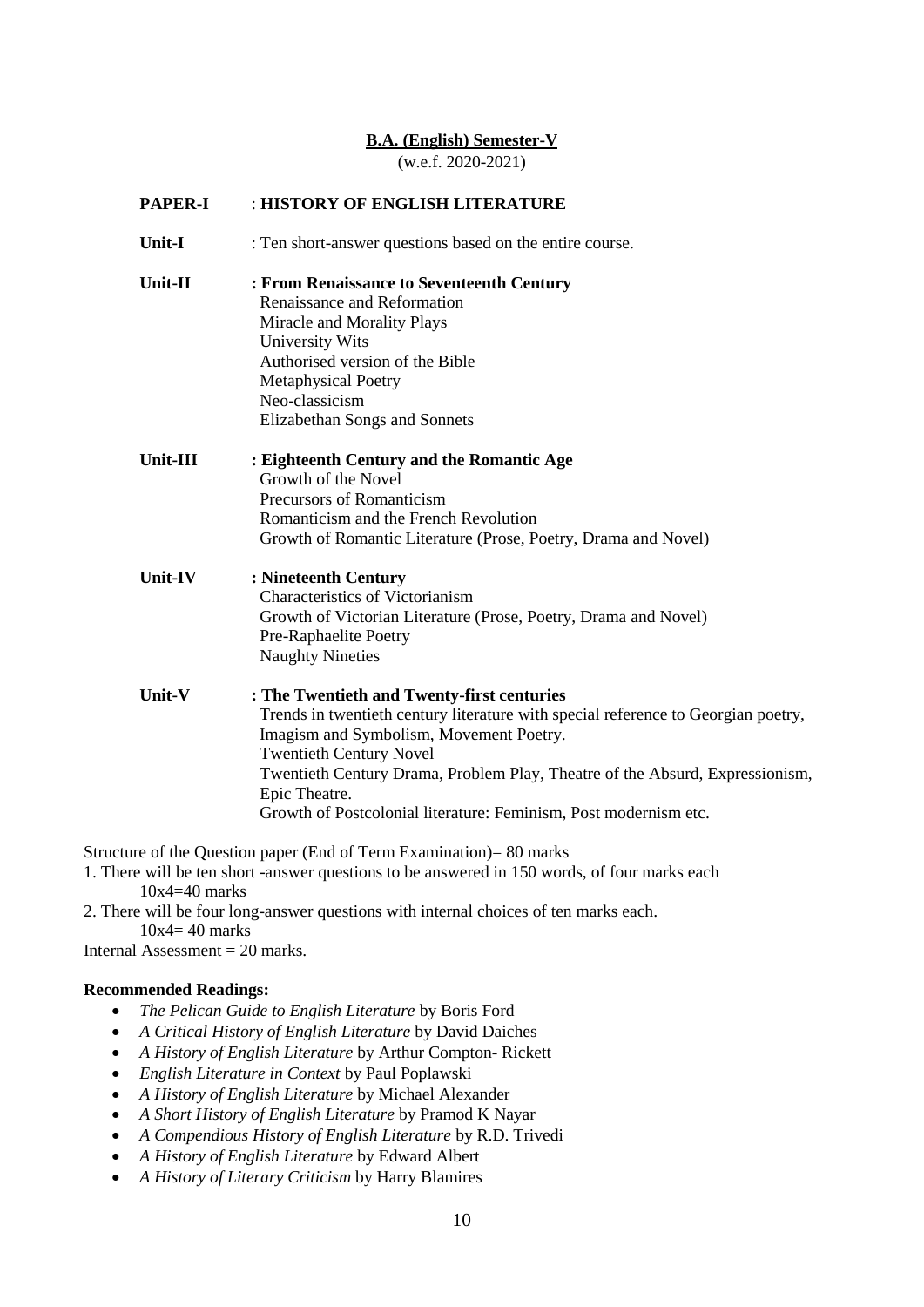#### **B.A. (English) Semester-V**

(w.e.f. 2020-2021)

### **PAPER-I** : **HISTORY OF ENGLISH LITERATURE**

- **Unit-I** : Ten short-answer questions based on the entire course.
- **Unit-II : From Renaissance to Seventeenth Century** Renaissance and Reformation Miracle and Morality Plays University Wits Authorised version of the Bible Metaphysical Poetry Neo-classicism Elizabethan Songs and Sonnets
- **Unit-III : Eighteenth Century and the Romantic Age** Growth of the Novel Precursors of Romanticism Romanticism and the French Revolution Growth of Romantic Literature (Prose, Poetry, Drama and Novel)
- **Unit-IV : Nineteenth Century** Characteristics of Victorianism Growth of Victorian Literature (Prose, Poetry, Drama and Novel) Pre-Raphaelite Poetry Naughty Nineties
- **Unit-V : The Twentieth and Twenty-first centuries** Trends in twentieth century literature with special reference to Georgian poetry, Imagism and Symbolism, Movement Poetry. Twentieth Century Novel Twentieth Century Drama, Problem Play, Theatre of the Absurd, Expressionism, Epic Theatre. Growth of Postcolonial literature: Feminism, Post modernism etc.

Structure of the Question paper (End of Term Examination)= 80 marks

- 1. There will be ten short -answer questions to be answered in 150 words, of four marks each 10x4=40 marks
- 2. There will be four long-answer questions with internal choices of ten marks each.  $10x4 = 40$  marks

Internal Assessment  $= 20$  marks.

- *The Pelican Guide to English Literature* by Boris Ford
- *A Critical History of English Literature* by David Daiches
- *A History of English Literature* by Arthur Compton- Rickett
- *English Literature in Context* by Paul Poplawski
- *A History of English Literature* by Michael Alexander
- *A Short History of English Literature* by Pramod K Nayar
- *A Compendious History of English Literature* by R.D. Trivedi
- *A History of English Literature* by Edward Albert
- *A History of Literary Criticism* by Harry Blamires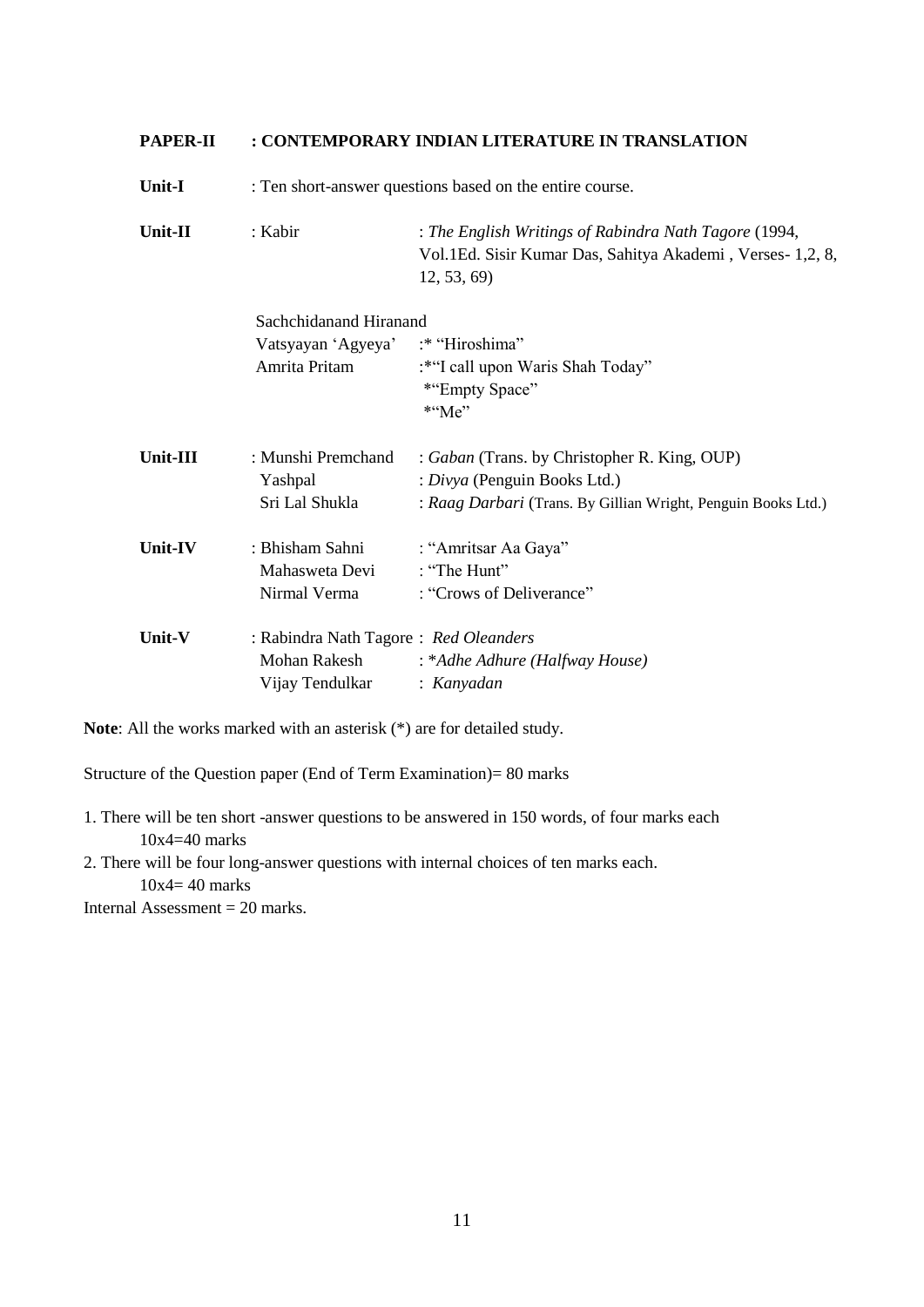| <b>PAPER-II</b> | : CONTEMPORARY INDIAN LITERATURE IN TRANSLATION                          |                                                                                                                                               |
|-----------------|--------------------------------------------------------------------------|-----------------------------------------------------------------------------------------------------------------------------------------------|
| Unit-I          | : Ten short-answer questions based on the entire course.                 |                                                                                                                                               |
| Unit-II         | : Kabir                                                                  | : The English Writings of Rabindra Nath Tagore (1994,<br>Vol.1Ed. Sisir Kumar Das, Sahitya Akademi, Verses- 1,2, 8,<br>12, 53, 69             |
|                 | Sachchidanand Hiranand                                                   |                                                                                                                                               |
|                 | Vatsyayan 'Agyeya'<br>Amrita Pritam                                      | :* "Hiroshima"<br>:*"I call upon Waris Shah Today"<br>*"Empty Space"<br>$*$ "Me"                                                              |
| Unit-III        | : Munshi Premchand<br>Yashpal<br>Sri Lal Shukla                          | : Gaban (Trans. by Christopher R. King, OUP)<br>: Divya (Penguin Books Ltd.)<br>: Raag Darbari (Trans. By Gillian Wright, Penguin Books Ltd.) |
| Unit-IV         | : Bhisham Sahni<br>Mahasweta Devi<br>Nirmal Verma                        | : "Amritsar Aa Gaya"<br>: "The Hunt"<br>: "Crows of Deliverance"                                                                              |
| Unit-V          | : Rabindra Nath Tagore: Red Oleanders<br>Mohan Rakesh<br>Vijay Tendulkar | : *Adhe Adhure (Halfway House)<br>: Kanyadan                                                                                                  |

**Note**: All the works marked with an asterisk (\*) are for detailed study.

Structure of the Question paper (End of Term Examination)= 80 marks

1. There will be ten short -answer questions to be answered in 150 words, of four marks each 10x4=40 marks

2. There will be four long-answer questions with internal choices of ten marks each. 10x4= 40 marks

Internal Assessment = 20 marks.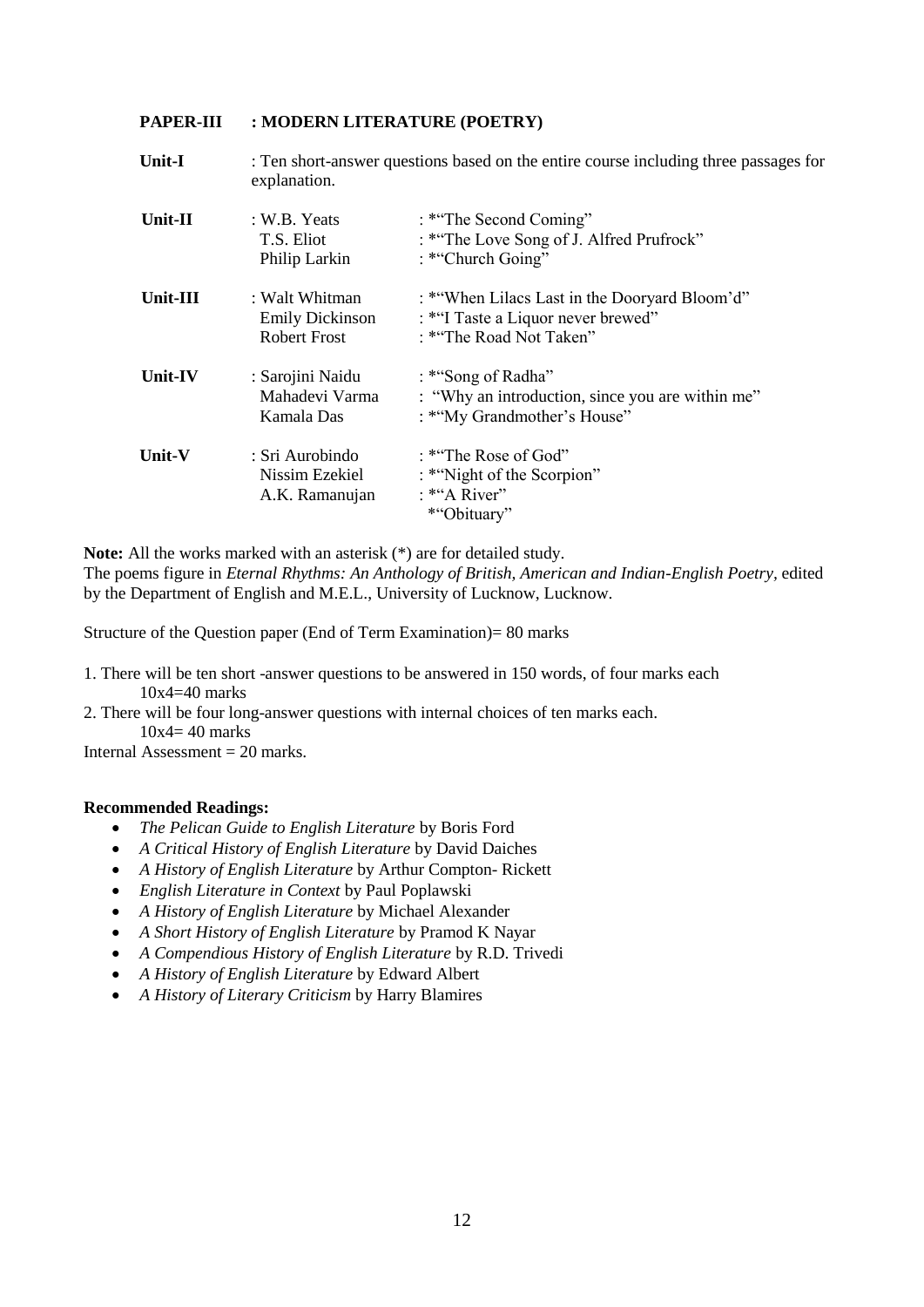#### **PAPER-III : MODERN LITERATURE (POETRY)**

| Unit-I   | : Ten short-answer questions based on the entire course including three passages for<br>explanation. |                                                                                                                |
|----------|------------------------------------------------------------------------------------------------------|----------------------------------------------------------------------------------------------------------------|
| Unit-II  | : W.B. Yeats<br>T.S. Eliot<br>Philip Larkin                                                          | : *"The Second Coming"<br>: *"The Love Song of J. Alfred Prufrock"<br>: *"Church Going"                        |
| Unit-III | : Walt Whitman<br><b>Emily Dickinson</b><br><b>Robert Frost</b>                                      | : *"When Lilacs Last in the Dooryard Bloom'd"<br>: *"I Taste a Liquor never brewed"<br>: *"The Road Not Taken" |
| Unit-IV  | : Sarojini Naidu<br>Mahadevi Varma<br>Kamala Das                                                     | : *"Song of Radha"<br>: "Why an introduction, since you are within me"<br>: *"My Grandmother's House"          |
| Unit-V   | : Sri Aurobindo<br>Nissim Ezekiel<br>A.K. Ramanujan                                                  | $:$ * The Rose of God"<br>: *"Night of the Scorpion"<br>: *"A River"<br>*"Obituary"                            |

**Note:** All the works marked with an asterisk (\*) are for detailed study.

The poems figure in *Eternal Rhythms: An Anthology of British, American and Indian-English Poetry,* edited by the Department of English and M.E.L., University of Lucknow, Lucknow.

Structure of the Question paper (End of Term Examination)= 80 marks

- 1. There will be ten short -answer questions to be answered in 150 words, of four marks each  $10x4=40$  marks
- 2. There will be four long-answer questions with internal choices of ten marks each.  $10x4=40$  marks

Internal Assessment  $= 20$  marks.

- *The Pelican Guide to English Literature* by Boris Ford
- *A Critical History of English Literature* by David Daiches
- *A History of English Literature* by Arthur Compton- Rickett
- *English Literature in Context* by Paul Poplawski
- *A History of English Literature* by Michael Alexander
- *A Short History of English Literature* by Pramod K Nayar
- *A Compendious History of English Literature* by R.D. Trivedi
- *A History of English Literature* by Edward Albert
- *A History of Literary Criticism* by Harry Blamires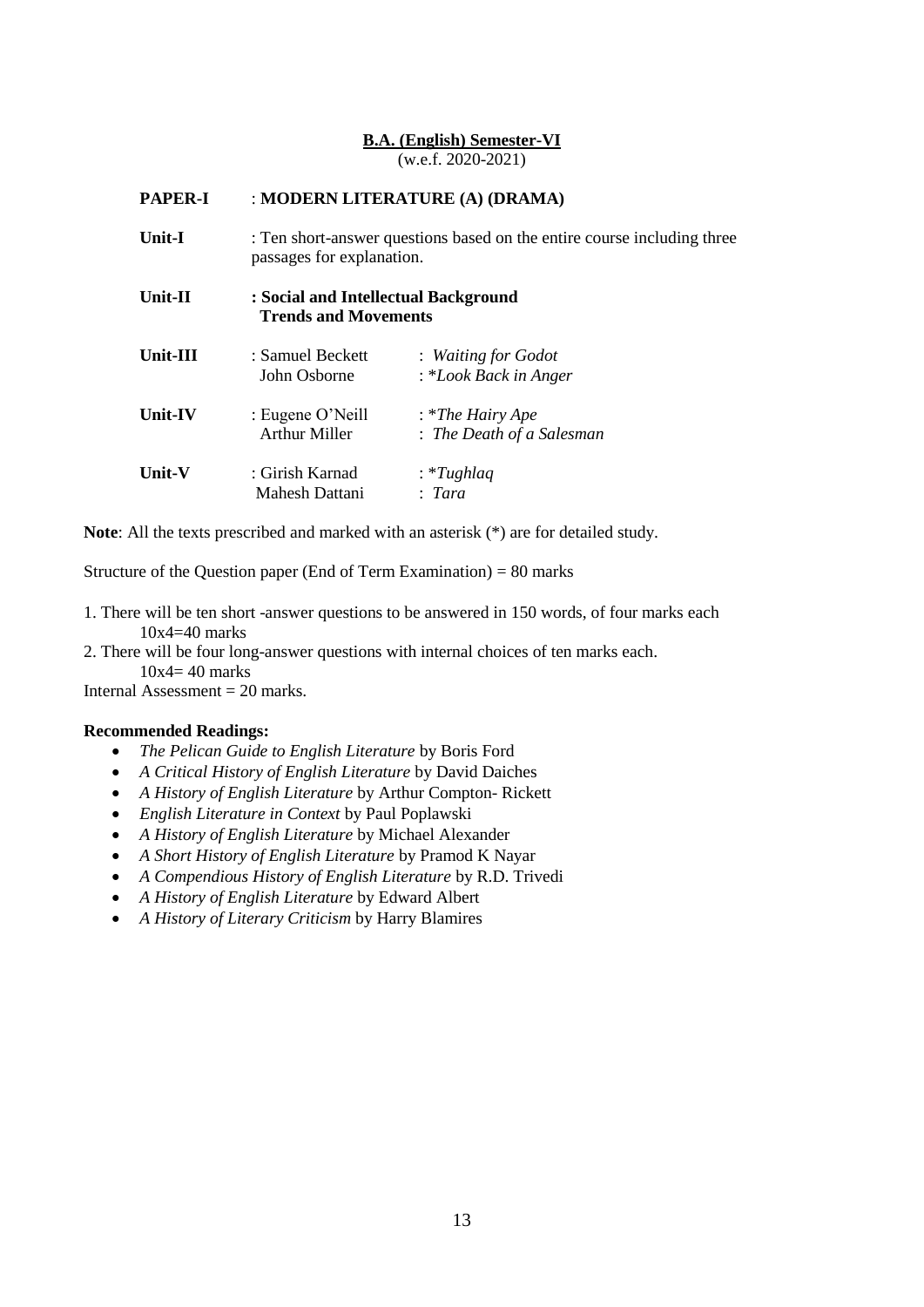# **B.A. (English) Semester-VI** (w.e.f. 2020-2021)

| <b>PAPER-I</b>    |                                                                     | : MODERN LITERATURE (A) (DRAMA)                                         |
|-------------------|---------------------------------------------------------------------|-------------------------------------------------------------------------|
| Unit-I            | passages for explanation.                                           | : Ten short-answer questions based on the entire course including three |
| Unit- $\mathbf H$ | : Social and Intellectual Background<br><b>Trends and Movements</b> |                                                                         |
| Unit-III          | : Samuel Beckett<br>John Osborne                                    | : Waiting for Godot<br>: *Look Back in Anger                            |
| <b>Unit-IV</b>    | : Eugene O'Neill<br><b>Arthur Miller</b>                            | $:$ *The Hairy Ape<br>: The Death of a Salesman                         |
| <b>Unit-V</b>     | : Girish Karnad<br>Mahesh Dattani                                   | : *Tughlaq<br>Tara                                                      |

**Note**: All the texts prescribed and marked with an asterisk (\*) are for detailed study.

Structure of the Question paper (End of Term Examination) = 80 marks

- 1. There will be ten short -answer questions to be answered in 150 words, of four marks each  $10x4=40$  marks
- 2. There will be four long-answer questions with internal choices of ten marks each. 10x4= 40 marks

Internal Assessment  $= 20$  marks.

- *The Pelican Guide to English Literature* by Boris Ford
- *A Critical History of English Literature* by David Daiches
- *A History of English Literature* by Arthur Compton- Rickett
- *English Literature in Context* by Paul Poplawski
- *A History of English Literature* by Michael Alexander
- *A Short History of English Literature* by Pramod K Nayar
- *A Compendious History of English Literature* by R.D. Trivedi
- *A History of English Literature* by Edward Albert
- *A History of Literary Criticism* by Harry Blamires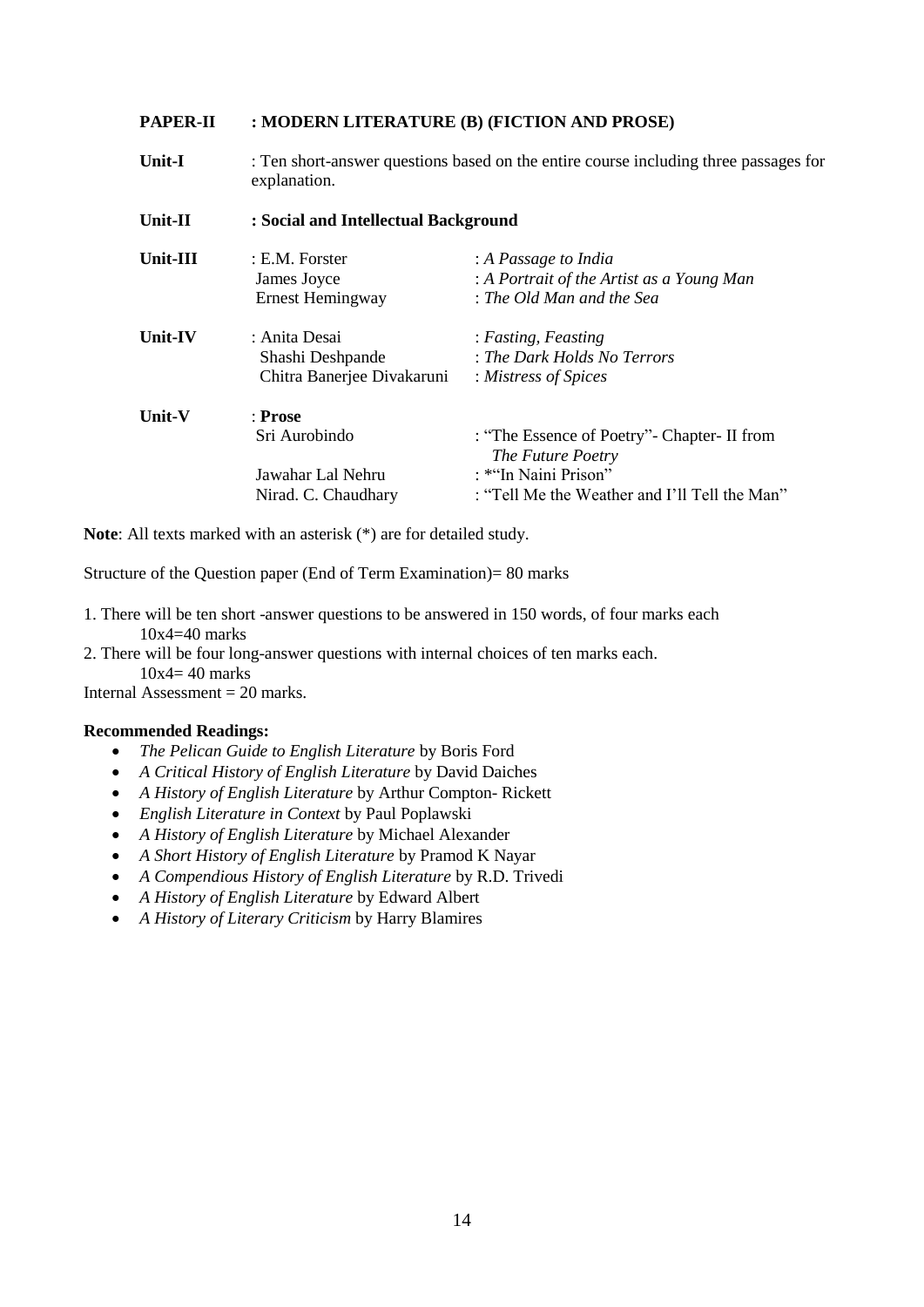#### **PAPER-II : MODERN LITERATURE (B) (FICTION AND PROSE)**

**Unit-I** : Ten short-answer questions based on the entire course including three passages for explanation.

| Unit-II  | : Social and Intellectual Background |                                                                    |  |
|----------|--------------------------------------|--------------------------------------------------------------------|--|
| Unit-III | : E.M. Forster                       | : A Passage to India                                               |  |
|          | James Joyce                          | : A Portrait of the Artist as a Young Man                          |  |
|          | Ernest Hemingway                     | : The Old Man and the Sea                                          |  |
| Unit-IV  | : Anita Desai                        | : Fasting, Feasting                                                |  |
|          | Shashi Deshpande                     | : The Dark Holds No Terrors                                        |  |
|          | Chitra Banerjee Divakaruni           | : Mistress of Spices                                               |  |
| Unit-V   | : Prose                              |                                                                    |  |
|          | Sri Aurobindo                        | : "The Essence of Poetry" - Chapter - II from<br>The Future Poetry |  |
|          | Jawahar Lal Nehru                    | : *"In Naini Prison"                                               |  |
|          | Nirad. C. Chaudhary                  | : "Tell Me the Weather and I'll Tell the Man"                      |  |

**Note**: All texts marked with an asterisk (\*) are for detailed study.

Structure of the Question paper (End of Term Examination)= 80 marks

- 1. There will be ten short -answer questions to be answered in 150 words, of four marks each 10x4=40 marks
- 2. There will be four long-answer questions with internal choices of ten marks each.  $10x4 = 40$  marks

Internal Assessment  $= 20$  marks.

- *The Pelican Guide to English Literature* by Boris Ford
- *A Critical History of English Literature* by David Daiches
- *A History of English Literature* by Arthur Compton- Rickett
- *English Literature in Context* by Paul Poplawski
- *A History of English Literature* by Michael Alexander
- *A Short History of English Literature* by Pramod K Nayar
- *A Compendious History of English Literature* by R.D. Trivedi
- *A History of English Literature* by Edward Albert
- *A History of Literary Criticism* by Harry Blamires